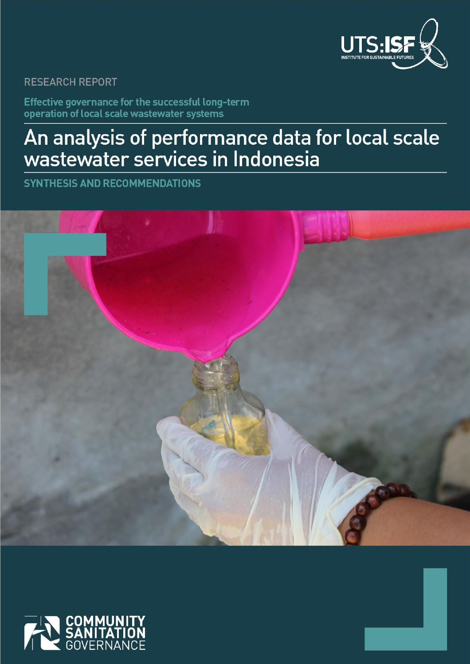

## **RESEARCH REPORT**

Effective governance for the successful long-term operation of local scale wastewater systems

# An analysis of performance data for local scale<br>wastewater services in Indonesia

**SYNTHESIS AND RECOMMENDATIONS** 



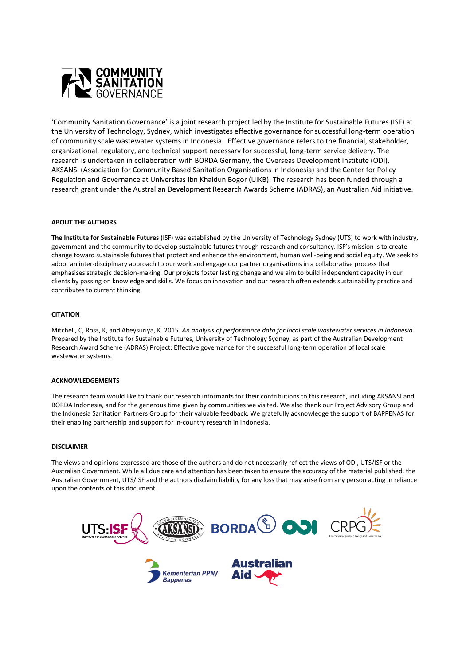

'Community Sanitation Governance' is a joint research project led by the Institute for Sustainable Futures (ISF) at the University of Technology, Sydney, which investigates effective governance for successful long-term operation of community scale wastewater systems in Indonesia. Effective governance refers to the financial, stakeholder, organizational, regulatory, and technical support necessary for successful, long-term service delivery. The research is undertaken in collaboration with BORDA Germany, the Overseas Development Institute (ODI), AKSANSI (Association for Community Based Sanitation Organisations in Indonesia) and the Center for Policy Regulation and Governance at Universitas Ibn Khaldun Bogor (UIKB). The research has been funded through a research grant under the Australian Development Research Awards Scheme (ADRAS), an Australian Aid initiative.

#### **ABOUT THE AUTHORS**

**The Institute for Sustainable Futures** (ISF) was established by the University of Technology Sydney (UTS) to work with industry, government and the community to develop sustainable futures through research and consultancy. ISF's mission is to create change toward sustainable futures that protect and enhance the environment, human well-being and social equity. We seek to adopt an inter-disciplinary approach to our work and engage our partner organisations in a collaborative process that emphasises strategic decision-making. Our projects foster lasting change and we aim to build independent capacity in our clients by passing on knowledge and skills. We focus on innovation and our research often extends sustainability practice and contributes to current thinking.

#### **CITATION**

Mitchell, C, Ross, K, and Abeysuriya, K. 2015. *An analysis of performance data for local scale wastewater services in Indonesia*. Prepared by the Institute for Sustainable Futures, University of Technology Sydney, as part of the Australian Development Research Award Scheme (ADRAS) Project: Effective governance for the successful long-term operation of local scale wastewater systems.

#### **ACKNOWLEDGEMENTS**

The research team would like to thank our research informants for their contributions to this research, including AKSANSI and BORDA Indonesia, and for the generous time given by communities we visited. We also thank our Project Advisory Group and the Indonesia Sanitation Partners Group for their valuable feedback. We gratefully acknowledge the support of BAPPENAS for their enabling partnership and support for in-country research in Indonesia.

#### **DISCLAIMER**

The views and opinions expressed are those of the authors and do not necessarily reflect the views of ODI, UTS/ISF or the Australian Government. While all due care and attention has been taken to ensure the accuracy of the material published, the Australian Government, UTS/ISF and the authors disclaim liability for any loss that may arise from any person acting in reliance upon the contents of this document.

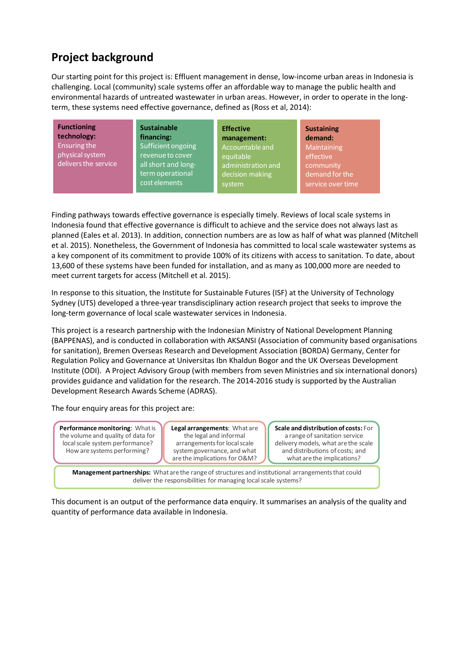# **Project background**

Our starting point for this project is: Effluent management in dense, low-income urban areas in Indonesia is challenging. Local (community) scale systems offer an affordable way to manage the public health and environmental hazards of untreated wastewater in urban areas. However, in order to operate in the longterm, these systems need effective governance, defined as (Ross et al, 2014):

| <b>Functioning</b><br><b>Sustainable</b><br>technology:<br>financing:<br>Ensuring the<br>Sufficient ongoing<br>physical system<br>revenue to cover<br>delivers the service<br>all short and long-<br>term operational<br>cost elements | <b>Effective</b><br>management:<br>Accountable and<br>equitable<br>administration and<br>decision making<br>system | <b>Sustaining</b><br>demand:<br>Maintaining<br>effective<br>community<br>demand for the<br>service over time |  |
|----------------------------------------------------------------------------------------------------------------------------------------------------------------------------------------------------------------------------------------|--------------------------------------------------------------------------------------------------------------------|--------------------------------------------------------------------------------------------------------------|--|
|----------------------------------------------------------------------------------------------------------------------------------------------------------------------------------------------------------------------------------------|--------------------------------------------------------------------------------------------------------------------|--------------------------------------------------------------------------------------------------------------|--|

Finding pathways towards effective governance is especially timely. Reviews of local scale systems in Indonesia found that effective governance is difficult to achieve and the service does not always last as planned (Eales et al. 2013). In addition, connection numbers are as low as half of what was planned (Mitchell et al. 2015). Nonetheless, the Government of Indonesia has committed to local scale wastewater systems as a key component of its commitment to provide 100% of its citizens with access to sanitation. To date, about 13,600 of these systems have been funded for installation, and as many as 100,000 more are needed to meet current targets for access (Mitchell et al. 2015).

In response to this situation, the Institute for Sustainable Futures (ISF) at the University of Technology Sydney (UTS) developed a three-year transdisciplinary action research project that seeks to improve the long-term governance of local scale wastewater services in Indonesia.

This project is a research partnership with the Indonesian Ministry of National Development Planning (BAPPENAS), and is conducted in collaboration with AKSANSI (Association of community based organisations for sanitation), Bremen Overseas Research and Development Association (BORDA) Germany, Center for Regulation Policy and Governance at Universitas Ibn Khaldun Bogor and the UK Overseas Development Institute (ODI). A Project Advisory Group (with members from seven Ministries and six international donors) provides guidance and validation for the research. The 2014-2016 study is supported by the Australian Development Research Awards Scheme (ADRAS).

The four enquiry areas for this project are:



This document is an output of the performance data enquiry. It summarises an analysis of the quality and quantity of performance data available in Indonesia.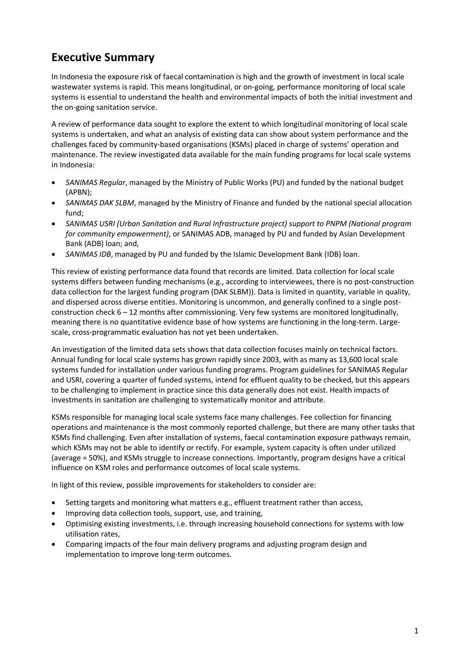# **Executive Summary**

In Indonesia the exposure risk of faecal contamination is high and the growth of investment in local scale wastewater systems is rapid. This means longitudinal, or on-going, performance monitoring of local scale systems is essential to understand the health and environmental impacts of both the initial investment and the on-going sanitation service.

A review of performance data sought to explore the extent to which longitudinal monitoring of local scale systems is undertaken, and what an analysis of existing data can show about system performance and the challenges faced by community-based organisations (KSMs) placed in charge of systems' operation and maintenance. The review investigated data available for the main funding programs for local scale systems in Indonesia:

- x *SANIMAS Regular*, managed by the Ministry of Public Works (PU) and funded by the national budget (APBN);
- x *SANIMAS DAK SLBM*, managed by the Ministry of Finance and funded by the national special allocation fund;
- x *SANIMAS USRI (Urban Sanitation and Rural Infrastructure project) support to PNPM (National program for community empowerment)*, or SANIMAS ADB, managed by PU and funded by Asian Development Bank (ADB) loan; and,
- SANIMAS IDB, managed by PU and funded by the Islamic Development Bank (IDB) loan.

This review of existing performance data found that records are limited. Data collection for local scale systems differs between funding mechanisms (e.g., according to interviewees, there is no post-construction data collection for the largest funding program (DAK SLBM)). Data is limited in quantity, variable in quality, and dispersed across diverse entities. Monitoring is uncommon, and generally confined to a single postconstruction check 6 – 12 months after commissioning. Very few systems are monitored longitudinally, meaning there is no quantitative evidence base of how systems are functioning in the long-term. Largescale, cross-programmatic evaluation has not yet been undertaken.

An investigation of the limited data sets shows that data collection focuses mainly on technical factors. Annual funding for local scale systems has grown rapidly since 2003, with as many as 13,600 local scale systems funded for installation under various funding programs. Program guidelines for SANIMAS Regular and USRI, covering a quarter of funded systems, intend for effluent quality to be checked, but this appears to be challenging to implement in practice since this data generally does not exist. Health impacts of investments in sanitation are challenging to systematically monitor and attribute.

KSMs responsible for managing local scale systems face many challenges. Fee collection for financing operations and maintenance is the most commonly reported challenge, but there are many other tasks that KSMs find challenging. Even after installation of systems, faecal contamination exposure pathways remain, which KSMs may not be able to identify or rectify. For example, system capacity is often under utilized (average = 50%), and KSMs struggle to increase connections. Importantly, program designs have a critical influence on KSM roles and performance outcomes of local scale systems.

In light of this review, possible improvements for stakeholders to consider are:

- Setting targets and monitoring what matters e.g., effluent treatment rather than access,
- Improving data collection tools, support, use, and training,
- Optimising existing investments, i.e. through increasing household connections for systems with low utilisation rates,
- Comparing impacts of the four main delivery programs and adjusting program design and implementation to improve long-term outcomes.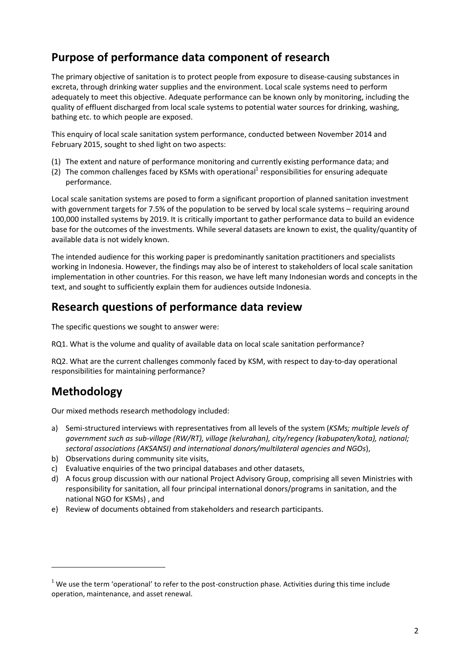## **Purpose of performance data component of research**

The primary objective of sanitation is to protect people from exposure to disease-causing substances in excreta, through drinking water supplies and the environment. Local scale systems need to perform adequately to meet this objective. Adequate performance can be known only by monitoring, including the quality of effluent discharged from local scale systems to potential water sources for drinking, washing, bathing etc. to which people are exposed.

This enquiry of local scale sanitation system performance, conducted between November 2014 and February 2015, sought to shed light on two aspects:

- (1) The extent and nature of performance monitoring and currently existing performance data; and
- (2) The common challenges faced by KSMs with operational<sup>1</sup> responsibilities for ensuring adequate performance.

Local scale sanitation systems are posed to form a significant proportion of planned sanitation investment with government targets for 7.5% of the population to be served by local scale systems – requiring around 100,000 installed systems by 2019. It is critically important to gather performance data to build an evidence base for the outcomes of the investments. While several datasets are known to exist, the quality/quantity of available data is not widely known.

The intended audience for this working paper is predominantly sanitation practitioners and specialists working in Indonesia. However, the findings may also be of interest to stakeholders of local scale sanitation implementation in other countries. For this reason, we have left many Indonesian words and concepts in the text, and sought to sufficiently explain them for audiences outside Indonesia.

## **Research questions of performance data review**

The specific questions we sought to answer were:

RQ1. What is the volume and quality of available data on local scale sanitation performance?

RQ2. What are the current challenges commonly faced by KSM, with respect to day-to-day operational responsibilities for maintaining performance?

# **Methodology**

**.** 

Our mixed methods research methodology included:

- a) Semi-structured interviews with representatives from all levels of the system (*KSMs; multiple levels of government such as sub-village (RW/RT), village (kelurahan), city/regency (kabupaten/kota), national; sectoral associations (AKSANSI) and international donors/multilateral agencies and NGOs*),
- b) Observations during community site visits,
- c) Evaluative enquiries of the two principal databases and other datasets,
- d) A focus group discussion with our national Project Advisory Group, comprising all seven Ministries with responsibility for sanitation, all four principal international donors/programs in sanitation, and the national NGO for KSMs) , and
- e) Review of documents obtained from stakeholders and research participants.

 $1$  We use the term 'operational' to refer to the post-construction phase. Activities during this time include operation, maintenance, and asset renewal.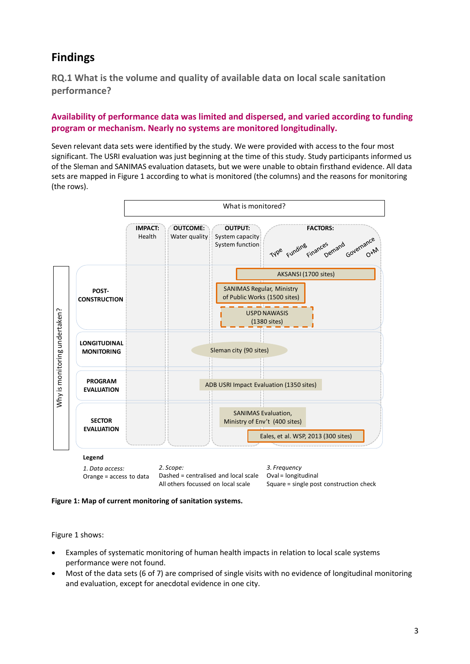# **Findings**

**RQ.1 What is the volume and quality of available data on local scale sanitation performance?** 

## **Availability of performance data was limited and dispersed, and varied according to funding program or mechanism. Nearly no systems are monitored longitudinally.**

Seven relevant data sets were identified by the study. We were provided with access to the four most significant. The USRI evaluation was just beginning at the time of this study. Study participants informed us of the Sleman and SANIMAS evaluation datasets, but we were unable to obtain firsthand evidence. All data sets are mapped in Figure 1 according to what is monitored (the columns) and the reasons for monitoring (the rows).



**Figure 1: Map of current monitoring of sanitation systems.** 

Figure 1 shows:

- Examples of systematic monitoring of human health impacts in relation to local scale systems performance were not found.
- Most of the data sets (6 of 7) are comprised of single visits with no evidence of longitudinal monitoring and evaluation, except for anecdotal evidence in one city.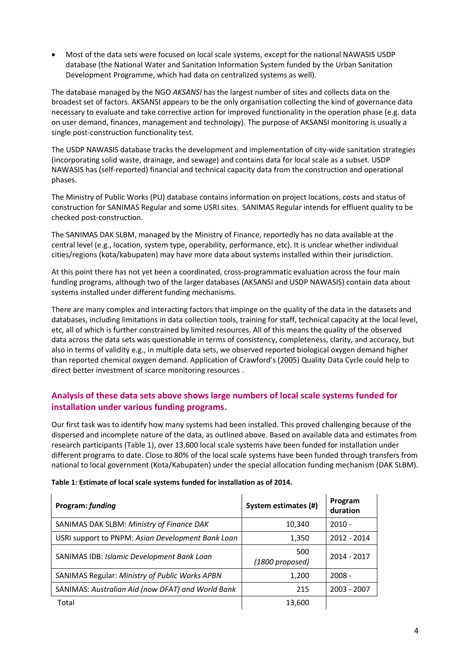• Most of the data sets were focused on local scale systems, except for the national NAWASIS USDP database (the National Water and Sanitation Information System funded by the Urban Sanitation Development Programme, which had data on centralized systems as well).

The database managed by the NGO *AKSANSI* has the largest number of sites and collects data on the broadest set of factors. AKSANSI appears to be the only organisation collecting the kind of governance data necessary to evaluate and take corrective action for improved functionality in the operation phase (e.g. data on user demand, finances, management and technology). The purpose of AKSANSI monitoring is usually a single post-construction functionality test.

The USDP NAWASIS database tracks the development and implementation of city-wide sanitation strategies (incorporating solid waste, drainage, and sewage) and contains data for local scale as a subset. USDP NAWASIS has (self-reported) financial and technical capacity data from the construction and operational phases.

The Ministry of Public Works (PU) database contains information on project locations, costs and status of construction for SANIMAS Regular and some USRI sites. SANIMAS Regular intends for effluent quality to be checked post-construction.

The SANIMAS DAK SLBM, managed by the Ministry of Finance, reportedly has no data available at the central level (e.g., location, system type, operability, performance, etc). It is unclear whether individual cities/regions (kota/kabupaten) may have more data about systems installed within their jurisdiction.

At this point there has not yet been a coordinated, cross-programmatic evaluation across the four main funding programs, although two of the larger databases (AKSANSI and USDP NAWASIS) contain data about systems installed under different funding mechanisms.

There are many complex and interacting factors that impinge on the quality of the data in the datasets and databases, including limitations in data collection tools, training for staff, technical capacity at the local level, etc, all of which is further constrained by limited resources. All of this means the quality of the observed data across the data sets was questionable in terms of consistency, completeness, clarity, and accuracy, but also in terms of validity e.g., in multiple data sets, we observed reported biological oxygen demand higher than reported chemical oxygen demand. Application of Crawford's (2005) Quality Data Cycle could help to direct better investment of scarce monitoring resources .

## **Analysis of these data sets above shows large numbers of local scale systems funded for installation under various funding programs.**

Our first task was to identify how many systems had been installed. This proved challenging because of the dispersed and incomplete nature of the data, as outlined above. Based on available data and estimates from research participants (Table 1), over 13,600 local scale systems have been funded for installation under different programs to date. Close to 80% of the local scale systems have been funded through transfers from national to local government (Kota/Kabupaten) under the special allocation funding mechanism (DAK SLBM).

| Program: funding                                  | System estimates (#)   | Program<br>duration |
|---------------------------------------------------|------------------------|---------------------|
| SANIMAS DAK SLBM: Ministry of Finance DAK         | 10,340                 | $2010 -$            |
| USRI support to PNPM: Asian Development Bank Loan | 1,350                  | 2012 - 2014         |
| SANIMAS IDB: Islamic Development Bank Loan        | 500<br>(1800 proposed) | 2014 - 2017         |
| SANIMAS Regular: Ministry of Public Works APBN    | 1,200                  | $2008 -$            |
| SANIMAS: Australian Aid (now DFAT) and World Bank | 215                    | 2003 - 2007         |
| Total                                             | 13,600                 |                     |

#### **Table 1: Estimate of local scale systems funded for installation as of 2014.**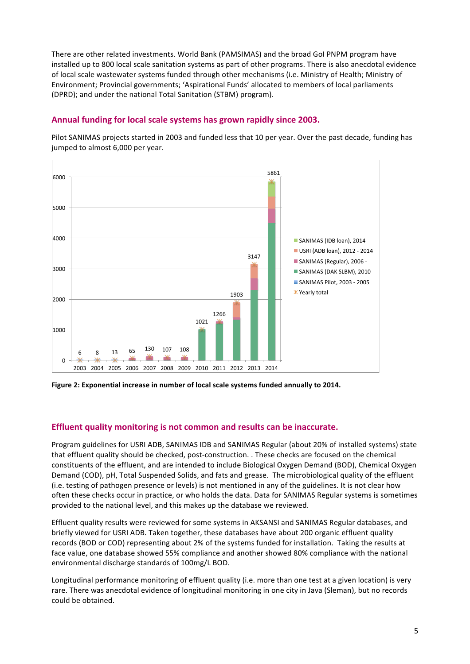There are other related investments. World Bank (PAMSIMAS) and the broad GoI PNPM program have installed up to 800 local scale sanitation systems as part of other programs. There is also anecdotal evidence of local scale wastewater systems funded through other mechanisms (i.e. Ministry of Health; Ministry of Environment; Provincial governments; 'Aspirational Funds' allocated to members of local parliaments (DPRD); and under the national Total Sanitation (STBM) program).

#### Annual funding for local scale systems has grown rapidly since 2003.

Pilot SANIMAS projects started in 2003 and funded less that 10 per year. Over the past decade, funding has jumped to almost 6,000 per year.



Figure 2: Exponential increase in number of local scale systems funded annually to 2014.

#### **Effluent quality monitoring is not common and results can be inaccurate.**

Program guidelines for USRI ADB, SANIMAS IDB and SANIMAS Regular (about 20% of installed systems) state that effluent quality should be checked, post-construction. . These checks are focused on the chemical constituents of the effluent, and are intended to include Biological Oxygen Demand (BOD), Chemical Oxygen Demand (COD), pH, Total Suspended Solids, and fats and grease. The microbiological quality of the effluent (i.e. testing of pathogen presence or levels) is not mentioned in any of the guidelines. It is not clear how often these checks occur in practice, or who holds the data. Data for SANIMAS Regular systems is sometimes provided to the national level, and this makes up the database we reviewed.

Effluent quality results were reviewed for some systems in AKSANSI and SANIMAS Regular databases, and briefly viewed for USRI ADB. Taken together, these databases have about 200 organic effluent quality records (BOD or COD) representing about 2% of the systems funded for installation. Taking the results at face value, one database showed 55% compliance and another showed 80% compliance with the national environmental discharge standards of 100mg/L BOD.

Longitudinal performance monitoring of effluent quality (i.e. more than one test at a given location) is very rare. There was anecdotal evidence of longitudinal monitoring in one city in Java (Sleman), but no records could be obtained.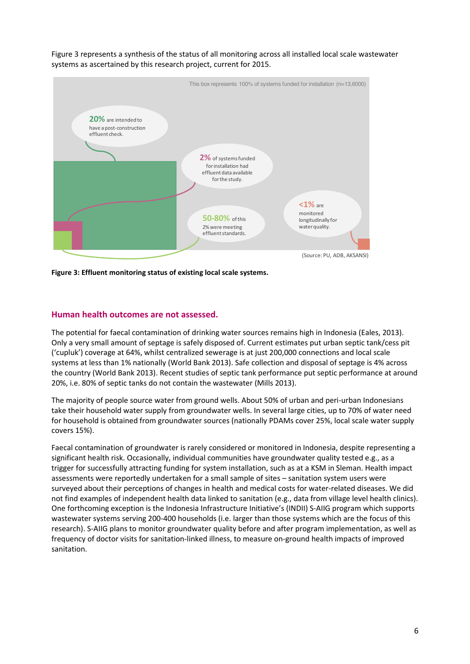Figure 3 represents a synthesis of the status of all monitoring across all installed local scale wastewater systems as ascertained by this research project, current for 2015.



**Figure 3: Effluent monitoring status of existing local scale systems.** 

#### **Human health outcomes are not assessed.**

The potential for faecal contamination of drinking water sources remains high in Indonesia (Eales, 2013). Only a very small amount of septage is safely disposed of. Current estimates put urban septic tank/cess pit ('cupluk') coverage at 64%, whilst centralized sewerage is at just 200,000 connections and local scale systems at less than 1% nationally (World Bank 2013). Safe collection and disposal of septage is 4% across the country (World Bank 2013). Recent studies of septic tank performance put septic performance at around 20%, i.e. 80% of septic tanks do not contain the wastewater (Mills 2013).

The majority of people source water from ground wells. About 50% of urban and peri-urban Indonesians take their household water supply from groundwater wells. In several large cities, up to 70% of water need for household is obtained from groundwater sources (nationally PDAMs cover 25%, local scale water supply covers 15%).

Faecal contamination of groundwater is rarely considered or monitored in Indonesia, despite representing a significant health risk. Occasionally, individual communities have groundwater quality tested e.g., as a trigger for successfully attracting funding for system installation, such as at a KSM in Sleman. Health impact assessments were reportedly undertaken for a small sample of sites – sanitation system users were surveyed about their perceptions of changes in health and medical costs for water-related diseases. We did not find examples of independent health data linked to sanitation (e.g., data from village level health clinics). One forthcoming exception is the Indonesia Infrastructure Initiative's (INDII) S-AIIG program which supports wastewater systems serving 200-400 households (i.e. larger than those systems which are the focus of this research). S-AIIG plans to monitor groundwater quality before and after program implementation, as well as frequency of doctor visits for sanitation-linked illness, to measure on-ground health impacts of improved sanitation.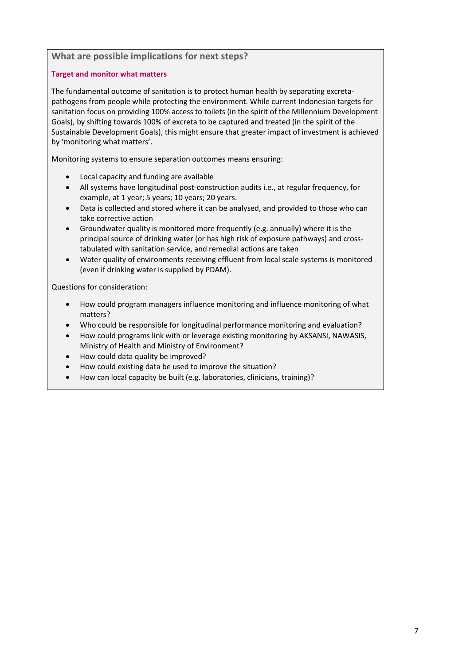### **What are possible implications for next steps?**

#### **Target and monitor what matters**

The fundamental outcome of sanitation is to protect human health by separating excretapathogens from people while protecting the environment. While current Indonesian targets for sanitation focus on providing 100% access to toilets (in the spirit of the Millennium Development Goals), by shifting towards 100% of excreta to be captured and treated (in the spirit of the Sustainable Development Goals), this might ensure that greater impact of investment is achieved by 'monitoring what matters'.

Monitoring systems to ensure separation outcomes means ensuring:

- Local capacity and funding are available
- All systems have longitudinal post-construction audits i.e., at regular frequency, for example, at 1 year; 5 years; 10 years; 20 years.
- Data is collected and stored where it can be analysed, and provided to those who can take corrective action
- Groundwater quality is monitored more frequently (e.g. annually) where it is the principal source of drinking water (or has high risk of exposure pathways) and crosstabulated with sanitation service, and remedial actions are taken
- Water quality of environments receiving effluent from local scale systems is monitored (even if drinking water is supplied by PDAM).

Questions for consideration:

- How could program managers influence monitoring and influence monitoring of what matters?
- x Who could be responsible for longitudinal performance monitoring and evaluation?
- How could programs link with or leverage existing monitoring by AKSANSI, NAWASIS, Ministry of Health and Ministry of Environment?
- How could data quality be improved?
- How could existing data be used to improve the situation?
- How can local capacity be built (e.g. laboratories, clinicians, training)?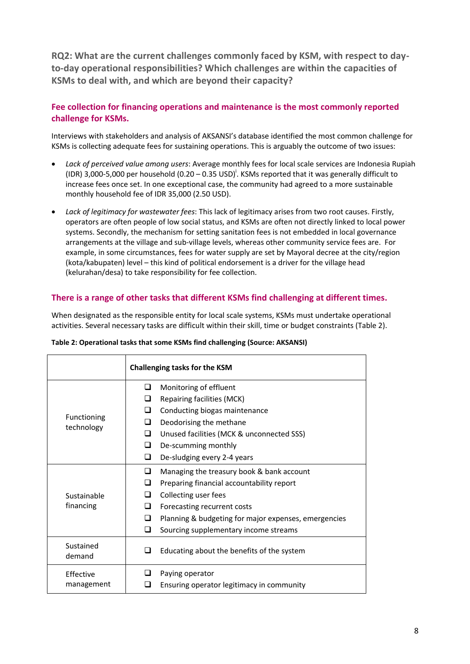**RQ2: What are the current challenges commonly faced by KSM, with respect to dayto-day operational responsibilities? Which challenges are within the capacities of KSMs to deal with, and which are beyond their capacity?** 

## **Fee collection for financing operations and maintenance is the most commonly reported challenge for KSMs.**

Interviews with stakeholders and analysis of AKSANSI's database identified the most common challenge for KSMs is collecting adequate fees for sustaining operations. This is arguably the outcome of two issues:

- x *Lack of perceived value among users*: Average monthly fees for local scale services are Indonesia Rupiah (IDR) 3,000-5,000 per household  $(0.20 - 0.35 \text{ USD})^i$ . KSMs reported that it was generally difficult to increase fees once set. In one exceptional case, the community had agreed to a more sustainable monthly household fee of IDR 35,000 (2.50 USD).
- x *Lack of legitimacy for wastewater fees*: This lack of legitimacy arises from two root causes. Firstly, operators are often people of low social status, and KSMs are often not directly linked to local power systems. Secondly, the mechanism for setting sanitation fees is not embedded in local governance arrangements at the village and sub-village levels, whereas other community service fees are. For example, in some circumstances, fees for water supply are set by Mayoral decree at the city/region (kota/kabupaten) level – this kind of political endorsement is a driver for the village head (kelurahan/desa) to take responsibility for fee collection.

### **There is a range of other tasks that different KSMs find challenging at different times.**

When designated as the responsible entity for local scale systems, KSMs must undertake operational activities. Several necessary tasks are difficult within their skill, time or budget constraints (Table 2).

|                           | Challenging tasks for the KSM          |                                                      |
|---------------------------|----------------------------------------|------------------------------------------------------|
|                           | ❏<br>Monitoring of effluent            |                                                      |
|                           | ❏<br><b>Repairing facilities (MCK)</b> |                                                      |
|                           | ப<br>Conducting biogas maintenance     |                                                      |
| Functioning<br>technology | Deodorising the methane<br>ப           |                                                      |
|                           | ◻                                      | Unused facilities (MCK & unconnected SSS)            |
|                           | ப<br>De-scumming monthly               |                                                      |
|                           | ❏<br>De-sludging every 2-4 years       |                                                      |
|                           | ⊔                                      | Managing the treasury book & bank account            |
|                           | ❏                                      | Preparing financial accountability report            |
| Sustainable               | ப<br>Collecting user fees              |                                                      |
| financing                 | ப<br>Forecasting recurrent costs       |                                                      |
|                           | ப                                      | Planning & budgeting for major expenses, emergencies |
|                           | ◻                                      | Sourcing supplementary income streams                |
| Sustained<br>demand       | $\sqcup$                               | Educating about the benefits of the system           |
| Effective                 | Paying operator<br>ப                   |                                                      |
| management                |                                        | Ensuring operator legitimacy in community            |

#### **Table 2: Operational tasks that some KSMs find challenging (Source: AKSANSI)**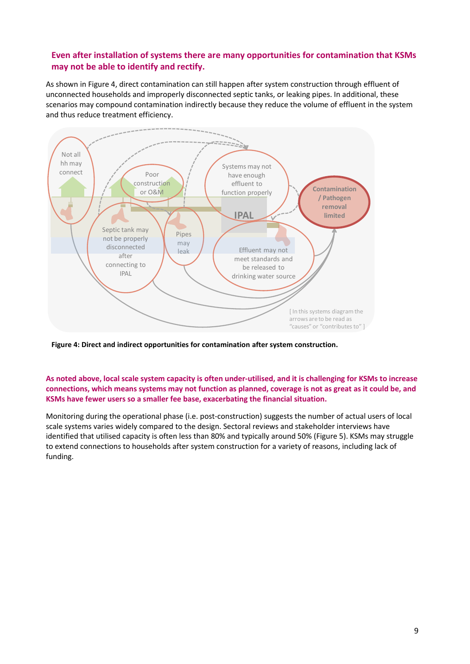## **Even after installation of systems there are many opportunities for contamination that KSMs may not be able to identify and rectify.**

As shown in Figure 4, direct contamination can still happen after system construction through effluent of unconnected households and improperly disconnected septic tanks, or leaking pipes. In additional, these scenarios may compound contamination indirectly because they reduce the volume of effluent in the system and thus reduce treatment efficiency.



**Figure 4: Direct and indirect opportunities for contamination after system construction.** 

#### **As noted above, local scale system capacity is often under-utilised, and it is challenging for KSMs to increase connections, which means systems may not function as planned, coverage is not as great as it could be, and KSMs have fewer users so a smaller fee base, exacerbating the financial situation.**

Monitoring during the operational phase (i.e. post-construction) suggests the number of actual users of local scale systems varies widely compared to the design. Sectoral reviews and stakeholder interviews have identified that utilised capacity is often less than 80% and typically around 50% (Figure 5). KSMs may struggle to extend connections to households after system construction for a variety of reasons, including lack of funding.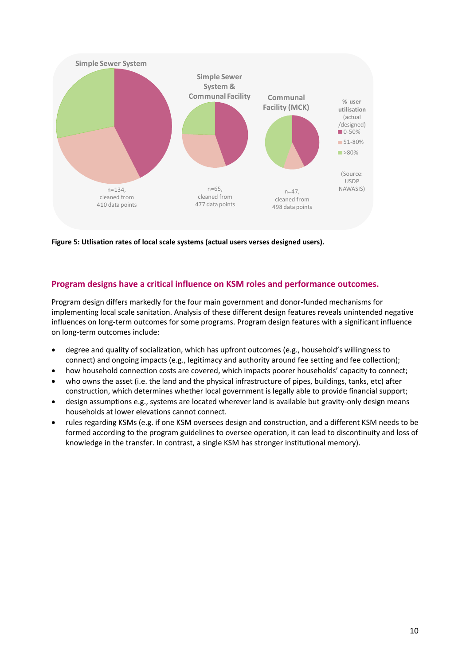

**Figure 5: Utlisation rates of local scale systems (actual users verses designed users).** 

#### **Program designs have a critical influence on KSM roles and performance outcomes.**

Program design differs markedly for the four main government and donor-funded mechanisms for implementing local scale sanitation. Analysis of these different design features reveals unintended negative influences on long-term outcomes for some programs. Program design features with a significant influence on long-term outcomes include:

- degree and quality of socialization, which has upfront outcomes (e.g., household's willingness to connect) and ongoing impacts (e.g., legitimacy and authority around fee setting and fee collection);
- how household connection costs are covered, which impacts poorer households' capacity to connect;
- x who owns the asset (i.e. the land and the physical infrastructure of pipes, buildings, tanks, etc) after construction, which determines whether local government is legally able to provide financial support;
- design assumptions e.g., systems are located wherever land is available but gravity-only design means households at lower elevations cannot connect.
- rules regarding KSMs (e.g. if one KSM oversees design and construction, and a different KSM needs to be formed according to the program guidelines to oversee operation, it can lead to discontinuity and loss of knowledge in the transfer. In contrast, a single KSM has stronger institutional memory).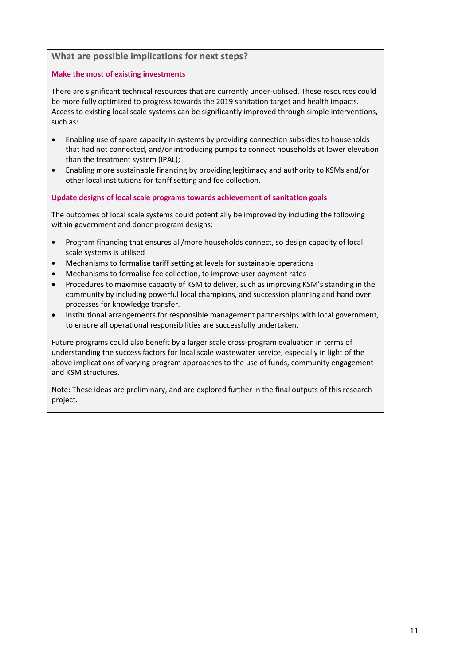#### **What are possible implications for next steps?**

#### **Make the most of existing investments**

There are significant technical resources that are currently under-utilised. These resources could be more fully optimized to progress towards the 2019 sanitation target and health impacts. Access to existing local scale systems can be significantly improved through simple interventions, such as:

- Enabling use of spare capacity in systems by providing connection subsidies to households that had not connected, and/or introducing pumps to connect households at lower elevation than the treatment system (IPAL);
- x Enabling more sustainable financing by providing legitimacy and authority to KSMs and/or other local institutions for tariff setting and fee collection.

#### **Update designs of local scale programs towards achievement of sanitation goals**

The outcomes of local scale systems could potentially be improved by including the following within government and donor program designs:

- Program financing that ensures all/more households connect, so design capacity of local scale systems is utilised
- x Mechanisms to formalise tariff setting at levels for sustainable operations
- x Mechanisms to formalise fee collection, to improve user payment rates
- Procedures to maximise capacity of KSM to deliver, such as improving KSM's standing in the community by including powerful local champions, and succession planning and hand over processes for knowledge transfer.
- Institutional arrangements for responsible management partnerships with local government, to ensure all operational responsibilities are successfully undertaken.

Future programs could also benefit by a larger scale cross-program evaluation in terms of understanding the success factors for local scale wastewater service; especially in light of the above implications of varying program approaches to the use of funds, community engagement and KSM structures.

Note: These ideas are preliminary, and are explored further in the final outputs of this research project.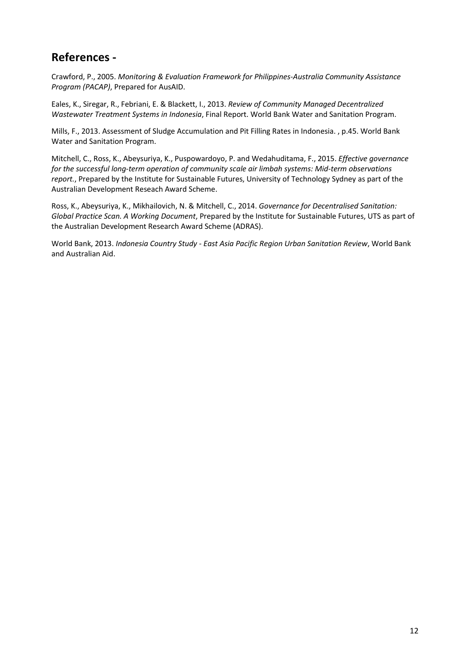## **References -**

Crawford, P., 2005. *Monitoring & Evaluation Framework for Philippines-Australia Community Assistance Program (PACAP)*, Prepared for AusAID.

Eales, K., Siregar, R., Febriani, E. & Blackett, I., 2013. *Review of Community Managed Decentralized Wastewater Treatment Systems in Indonesia*, Final Report. World Bank Water and Sanitation Program.

Mills, F., 2013. Assessment of Sludge Accumulation and Pit Filling Rates in Indonesia. , p.45. World Bank Water and Sanitation Program.

Mitchell, C., Ross, K., Abeysuriya, K., Puspowardoyo, P. and Wedahuditama, F., 2015. *Effective governance for the successful long-term operation of community scale air limbah systems: Mid-term observations report.*, Prepared by the Institute for Sustainable Futures, University of Technology Sydney as part of the Australian Development Reseach Award Scheme.

Ross, K., Abeysuriya, K., Mikhailovich, N. & Mitchell, C., 2014. *Governance for Decentralised Sanitation: Global Practice Scan. A Working Document*, Prepared by the Institute for Sustainable Futures, UTS as part of the Australian Development Research Award Scheme (ADRAS).

World Bank, 2013. *Indonesia Country Study - East Asia Pacific Region Urban Sanitation Review*, World Bank and Australian Aid.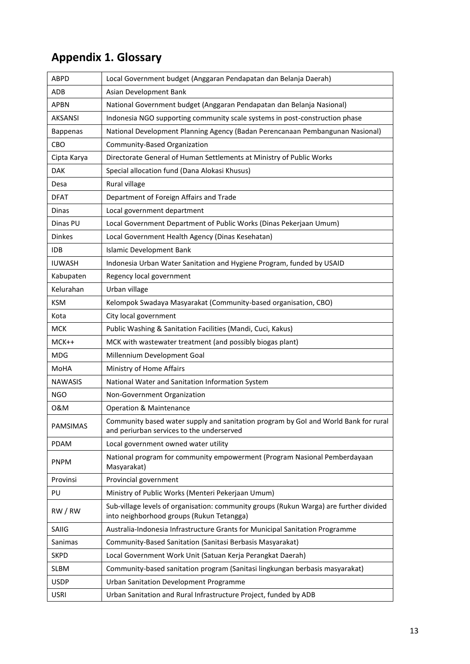# **Appendix 1. Glossary**

| ABPD            | Local Government budget (Anggaran Pendapatan dan Belanja Daerah)                                                                    |
|-----------------|-------------------------------------------------------------------------------------------------------------------------------------|
| ADB             | Asian Development Bank                                                                                                              |
| <b>APBN</b>     | National Government budget (Anggaran Pendapatan dan Belanja Nasional)                                                               |
| <b>AKSANSI</b>  | Indonesia NGO supporting community scale systems in post-construction phase                                                         |
| <b>Bappenas</b> | National Development Planning Agency (Badan Perencanaan Pembangunan Nasional)                                                       |
| <b>CBO</b>      | Community-Based Organization                                                                                                        |
| Cipta Karya     | Directorate General of Human Settlements at Ministry of Public Works                                                                |
| <b>DAK</b>      | Special allocation fund (Dana Alokasi Khusus)                                                                                       |
| Desa            | Rural village                                                                                                                       |
| <b>DFAT</b>     | Department of Foreign Affairs and Trade                                                                                             |
| Dinas           | Local government department                                                                                                         |
| Dinas PU        | Local Government Department of Public Works (Dinas Pekerjaan Umum)                                                                  |
| <b>Dinkes</b>   | Local Government Health Agency (Dinas Kesehatan)                                                                                    |
| <b>IDB</b>      | <b>Islamic Development Bank</b>                                                                                                     |
| <b>IUWASH</b>   | Indonesia Urban Water Sanitation and Hygiene Program, funded by USAID                                                               |
| Kabupaten       | Regency local government                                                                                                            |
| Kelurahan       | Urban village                                                                                                                       |
| <b>KSM</b>      | Kelompok Swadaya Masyarakat (Community-based organisation, CBO)                                                                     |
| Kota            | City local government                                                                                                               |
| <b>MCK</b>      | Public Washing & Sanitation Facilities (Mandi, Cuci, Kakus)                                                                         |
| $MCK++$         | MCK with wastewater treatment (and possibly biogas plant)                                                                           |
| <b>MDG</b>      | Millennium Development Goal                                                                                                         |
| MoHA            | Ministry of Home Affairs                                                                                                            |
| <b>NAWASIS</b>  | National Water and Sanitation Information System                                                                                    |
| <b>NGO</b>      | Non-Government Organization                                                                                                         |
| 0&M             | Operation & Maintenance                                                                                                             |
| <b>PAMSIMAS</b> | Community based water supply and sanitation program by GoI and World Bank for rural<br>and periurban services to the underserved    |
| <b>PDAM</b>     | Local government owned water utility                                                                                                |
| <b>PNPM</b>     | National program for community empowerment (Program Nasional Pemberdayaan<br>Masyarakat)                                            |
| Provinsi        | Provincial government                                                                                                               |
| PU              | Ministry of Public Works (Menteri Pekerjaan Umum)                                                                                   |
| RW/RW           | Sub-village levels of organisation: community groups (Rukun Warga) are further divided<br>into neighborhood groups (Rukun Tetangga) |
| SAIIG           | Australia-Indonesia Infrastructure Grants for Municipal Sanitation Programme                                                        |
| Sanimas         | Community-Based Sanitation (Sanitasi Berbasis Masyarakat)                                                                           |
| <b>SKPD</b>     | Local Government Work Unit (Satuan Kerja Perangkat Daerah)                                                                          |
| <b>SLBM</b>     | Community-based sanitation program (Sanitasi lingkungan berbasis masyarakat)                                                        |
| <b>USDP</b>     | Urban Sanitation Development Programme                                                                                              |
| <b>USRI</b>     | Urban Sanitation and Rural Infrastructure Project, funded by ADB                                                                    |